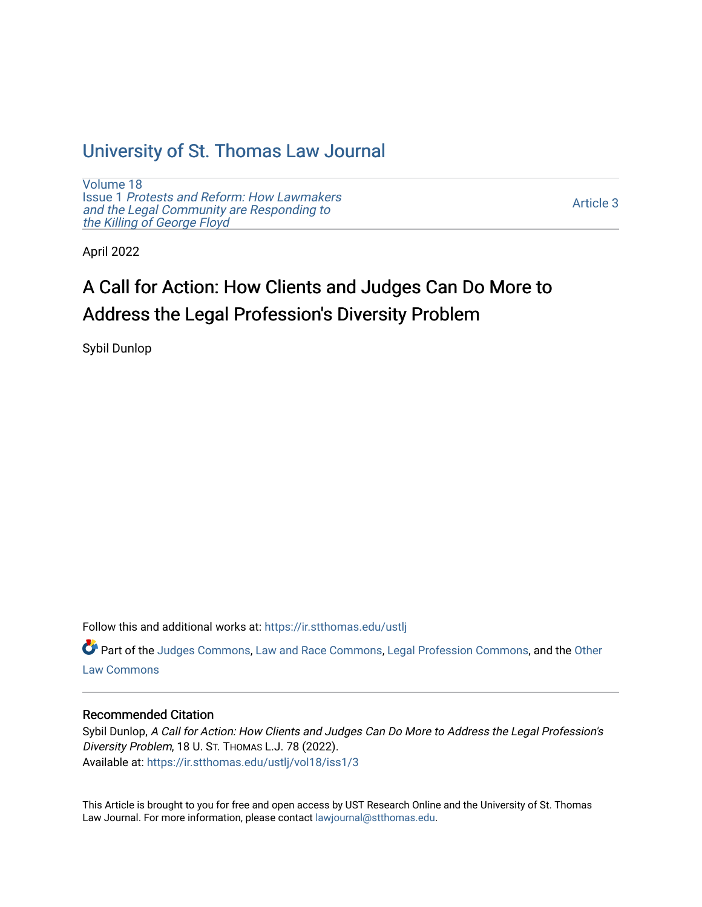## [University of St. Thomas Law Journal](https://ir.stthomas.edu/ustlj)

[Volume 18](https://ir.stthomas.edu/ustlj/vol18) Issue 1 [Protests and Reform: How Lawmakers](https://ir.stthomas.edu/ustlj/vol18/iss1)  [and the Legal Community are Responding to](https://ir.stthomas.edu/ustlj/vol18/iss1) [the Killing of George Floyd](https://ir.stthomas.edu/ustlj/vol18/iss1) 

[Article 3](https://ir.stthomas.edu/ustlj/vol18/iss1/3) 

April 2022

# A Call for Action: How Clients and Judges Can Do More to Address the Legal Profession's Diversity Problem

Sybil Dunlop

Follow this and additional works at: [https://ir.stthomas.edu/ustlj](https://ir.stthomas.edu/ustlj?utm_source=ir.stthomas.edu%2Fustlj%2Fvol18%2Fiss1%2F3&utm_medium=PDF&utm_campaign=PDFCoverPages)

Part of the [Judges Commons,](http://network.bepress.com/hgg/discipline/849?utm_source=ir.stthomas.edu%2Fustlj%2Fvol18%2Fiss1%2F3&utm_medium=PDF&utm_campaign=PDFCoverPages) [Law and Race Commons,](http://network.bepress.com/hgg/discipline/1300?utm_source=ir.stthomas.edu%2Fustlj%2Fvol18%2Fiss1%2F3&utm_medium=PDF&utm_campaign=PDFCoverPages) [Legal Profession Commons](http://network.bepress.com/hgg/discipline/1075?utm_source=ir.stthomas.edu%2Fustlj%2Fvol18%2Fiss1%2F3&utm_medium=PDF&utm_campaign=PDFCoverPages), and the [Other](http://network.bepress.com/hgg/discipline/621?utm_source=ir.stthomas.edu%2Fustlj%2Fvol18%2Fiss1%2F3&utm_medium=PDF&utm_campaign=PDFCoverPages)  [Law Commons](http://network.bepress.com/hgg/discipline/621?utm_source=ir.stthomas.edu%2Fustlj%2Fvol18%2Fiss1%2F3&utm_medium=PDF&utm_campaign=PDFCoverPages) 

## Recommended Citation

Sybil Dunlop, A Call for Action: How Clients and Judges Can Do More to Address the Legal Profession's Diversity Problem, 18 U. ST. THOMAS L.J. 78 (2022). Available at: [https://ir.stthomas.edu/ustlj/vol18/iss1/3](https://ir.stthomas.edu/ustlj/vol18/iss1/3?utm_source=ir.stthomas.edu%2Fustlj%2Fvol18%2Fiss1%2F3&utm_medium=PDF&utm_campaign=PDFCoverPages)

This Article is brought to you for free and open access by UST Research Online and the University of St. Thomas Law Journal. For more information, please contact [lawjournal@stthomas.edu.](mailto:lawjournal@stthomas.edu)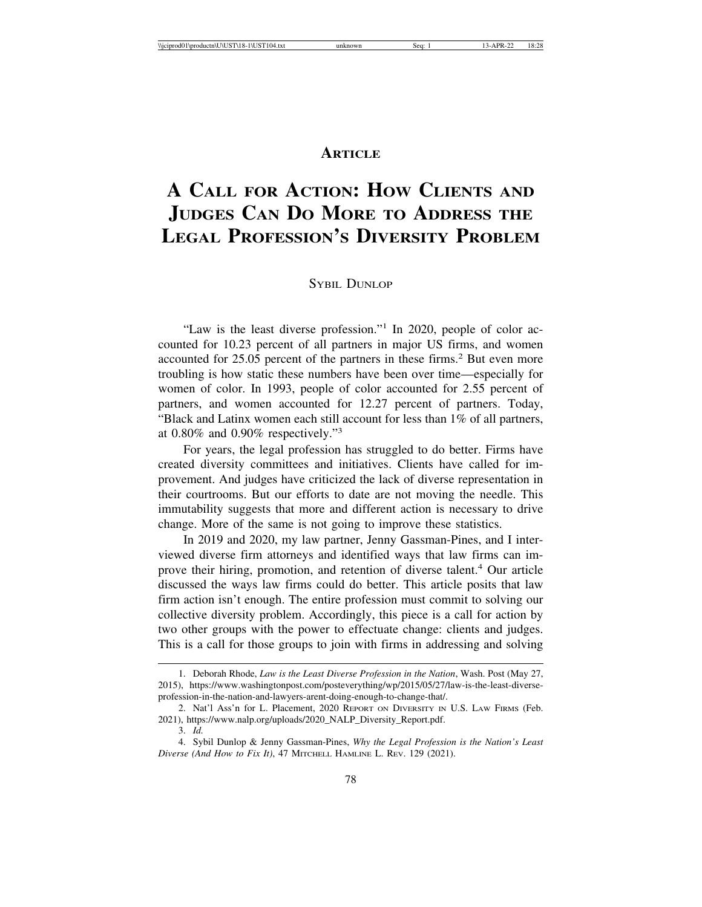## **ARTICLE**

## **A CALL FOR ACTION: HOW CLIENTS AND JUDGES CAN DO MORE TO ADDRESS THE LEGAL PROFESSION'S DIVERSITY PROBLEM**

SYBIL DUNLOP

"Law is the least diverse profession."<sup>1</sup> In 2020, people of color accounted for 10.23 percent of all partners in major US firms, and women accounted for 25.05 percent of the partners in these firms.<sup>2</sup> But even more troubling is how static these numbers have been over time—especially for women of color. In 1993, people of color accounted for 2.55 percent of partners, and women accounted for 12.27 percent of partners. Today, "Black and Latinx women each still account for less than 1% of all partners, at 0.80% and 0.90% respectively."<sup>3</sup>

For years, the legal profession has struggled to do better. Firms have created diversity committees and initiatives. Clients have called for improvement. And judges have criticized the lack of diverse representation in their courtrooms. But our efforts to date are not moving the needle. This immutability suggests that more and different action is necessary to drive change. More of the same is not going to improve these statistics.

In 2019 and 2020, my law partner, Jenny Gassman-Pines, and I interviewed diverse firm attorneys and identified ways that law firms can improve their hiring, promotion, and retention of diverse talent.<sup>4</sup> Our article discussed the ways law firms could do better. This article posits that law firm action isn't enough. The entire profession must commit to solving our collective diversity problem. Accordingly, this piece is a call for action by two other groups with the power to effectuate change: clients and judges. This is a call for those groups to join with firms in addressing and solving

<sup>1.</sup> Deborah Rhode, *Law is the Least Diverse Profession in the Nation*, Wash. Post (May 27, 2015), https://www.washingtonpost.com/posteverything/wp/2015/05/27/law-is-the-least-diverseprofession-in-the-nation-and-lawyers-arent-doing-enough-to-change-that/.

<sup>2.</sup> Nat'l Ass'n for L. Placement, 2020 REPORT ON DIVERSITY IN U.S. LAW FIRMS (Feb. 2021), https://www.nalp.org/uploads/2020\_NALP\_Diversity\_Report.pdf.

<sup>3.</sup> *Id.*

<sup>4.</sup> Sybil Dunlop & Jenny Gassman-Pines, *Why the Legal Profession is the Nation's Least Diverse (And How to Fix It)*, 47 MITCHELL HAMLINE L. REV. 129 (2021).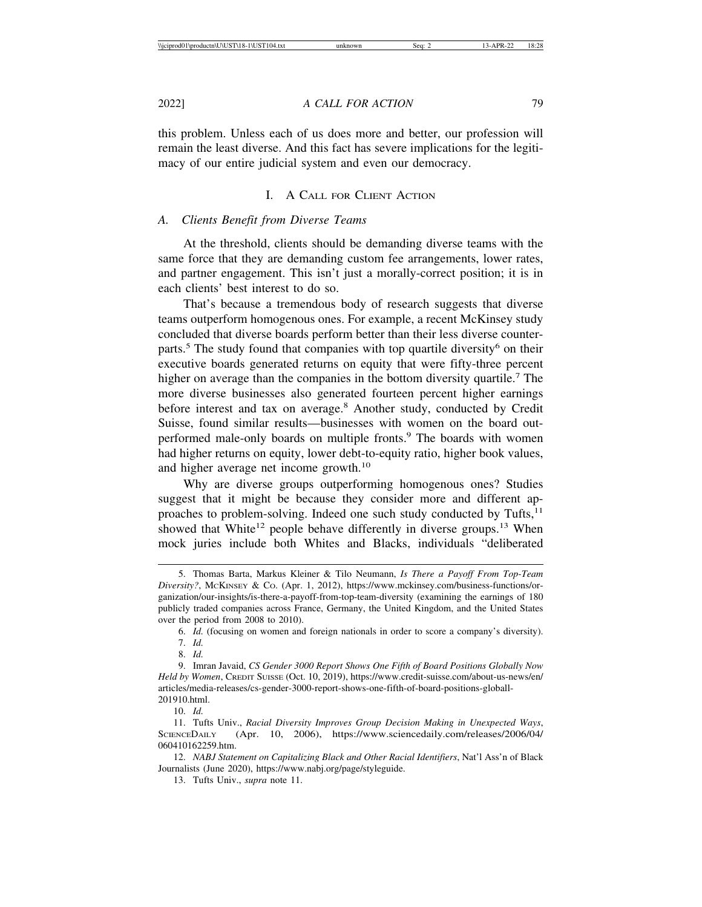this problem. Unless each of us does more and better, our profession will remain the least diverse. And this fact has severe implications for the legitimacy of our entire judicial system and even our democracy.

#### I. A CALL FOR CLIENT ACTION

#### *A. Clients Benefit from Diverse Teams*

At the threshold, clients should be demanding diverse teams with the same force that they are demanding custom fee arrangements, lower rates, and partner engagement. This isn't just a morally-correct position; it is in each clients' best interest to do so.

That's because a tremendous body of research suggests that diverse teams outperform homogenous ones. For example, a recent McKinsey study concluded that diverse boards perform better than their less diverse counterparts.<sup>5</sup> The study found that companies with top quartile diversity<sup>6</sup> on their executive boards generated returns on equity that were fifty-three percent higher on average than the companies in the bottom diversity quartile.<sup>7</sup> The more diverse businesses also generated fourteen percent higher earnings before interest and tax on average.<sup>8</sup> Another study, conducted by Credit Suisse, found similar results—businesses with women on the board outperformed male-only boards on multiple fronts.<sup>9</sup> The boards with women had higher returns on equity, lower debt-to-equity ratio, higher book values, and higher average net income growth.<sup>10</sup>

Why are diverse groups outperforming homogenous ones? Studies suggest that it might be because they consider more and different approaches to problem-solving. Indeed one such study conducted by Tufts, $^{11}$ showed that White<sup>12</sup> people behave differently in diverse groups.<sup>13</sup> When mock juries include both Whites and Blacks, individuals "deliberated

6. *Id.* (focusing on women and foreign nationals in order to score a company's diversity).

<sup>5.</sup> Thomas Barta, Markus Kleiner & Tilo Neumann, *Is There a Payoff From Top-Team Diversity?*, MCKINSEY & CO. (Apr. 1, 2012), https://www.mckinsey.com/business-functions/organization/our-insights/is-there-a-payoff-from-top-team-diversity (examining the earnings of 180 publicly traded companies across France, Germany, the United Kingdom, and the United States over the period from 2008 to 2010).

<sup>7.</sup> *Id.*

<sup>8.</sup> *Id.*

<sup>9.</sup> Imran Javaid, *CS Gender 3000 Report Shows One Fifth of Board Positions Globally Now Held by Women*, CREDIT SUISSE (Oct. 10, 2019), https://www.credit-suisse.com/about-us-news/en/ articles/media-releases/cs-gender-3000-report-shows-one-fifth-of-board-positions-globall-201910.html.

<sup>10.</sup> *Id.*

<sup>11.</sup> Tufts Univ., *Racial Diversity Improves Group Decision Making in Unexpected Ways*, SCIENCEDAILY (Apr. 10, 2006), https://www.sciencedaily.com/releases/2006/04/ 060410162259.htm.

<sup>12.</sup> *NABJ Statement on Capitalizing Black and Other Racial Identifiers*, Nat'l Ass'n of Black Journalists (June 2020), https://www.nabj.org/page/styleguide.

<sup>13.</sup> Tufts Univ., *supra* note 11.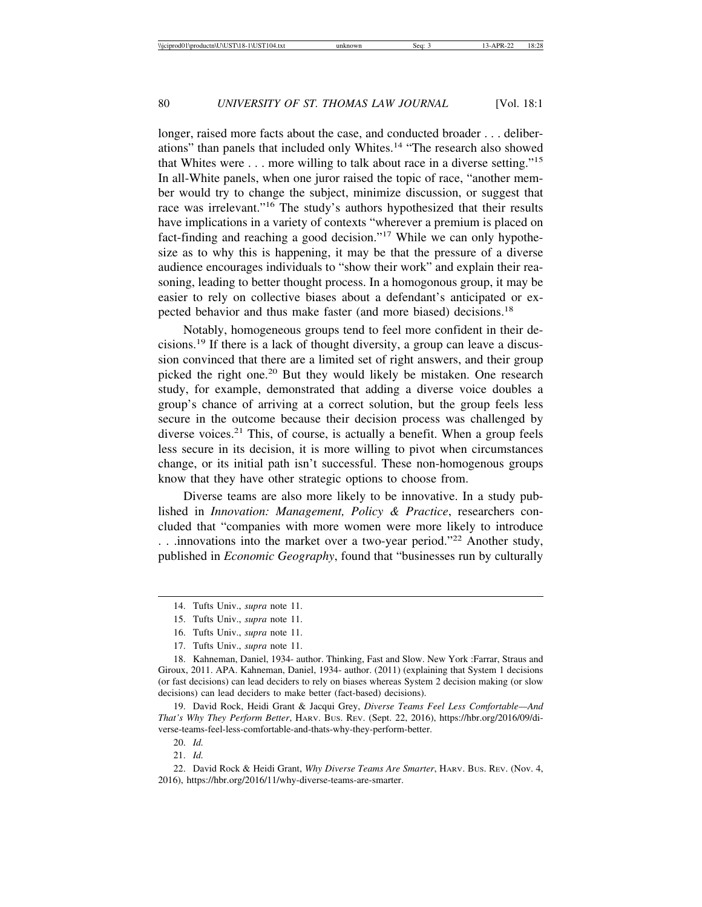longer, raised more facts about the case, and conducted broader . . . deliberations" than panels that included only Whites.14 "The research also showed that Whites were . . . more willing to talk about race in a diverse setting."<sup>15</sup> In all-White panels, when one juror raised the topic of race, "another member would try to change the subject, minimize discussion, or suggest that race was irrelevant."16 The study's authors hypothesized that their results have implications in a variety of contexts "wherever a premium is placed on fact-finding and reaching a good decision."17 While we can only hypothesize as to why this is happening, it may be that the pressure of a diverse audience encourages individuals to "show their work" and explain their reasoning, leading to better thought process. In a homogonous group, it may be easier to rely on collective biases about a defendant's anticipated or expected behavior and thus make faster (and more biased) decisions.<sup>18</sup>

Notably, homogeneous groups tend to feel more confident in their decisions.19 If there is a lack of thought diversity, a group can leave a discussion convinced that there are a limited set of right answers, and their group picked the right one.20 But they would likely be mistaken. One research study, for example, demonstrated that adding a diverse voice doubles a group's chance of arriving at a correct solution, but the group feels less secure in the outcome because their decision process was challenged by diverse voices.<sup>21</sup> This, of course, is actually a benefit. When a group feels less secure in its decision, it is more willing to pivot when circumstances change, or its initial path isn't successful. These non-homogenous groups know that they have other strategic options to choose from.

Diverse teams are also more likely to be innovative. In a study published in *Innovation: Management, Policy & Practice*, researchers concluded that "companies with more women were more likely to introduce ... innovations into the market over a two-year period."<sup>22</sup> Another study, published in *Economic Geography*, found that "businesses run by culturally

18. Kahneman, Daniel, 1934- author. Thinking, Fast and Slow. New York :Farrar, Straus and Giroux, 2011. APA. Kahneman, Daniel, 1934- author. (2011) (explaining that System 1 decisions (or fast decisions) can lead deciders to rely on biases whereas System 2 decision making (or slow decisions) can lead deciders to make better (fact-based) decisions).

19. David Rock, Heidi Grant & Jacqui Grey, *Diverse Teams Feel Less Comfortable—And That's Why They Perform Better*, HARV. BUS. REV. (Sept. 22, 2016), https://hbr.org/2016/09/diverse-teams-feel-less-comfortable-and-thats-why-they-perform-better.

20. *Id.*

21. *Id.*

22. David Rock & Heidi Grant, *Why Diverse Teams Are Smarter*, HARV. BUS. REV. (Nov. 4, 2016), https://hbr.org/2016/11/why-diverse-teams-are-smarter.

<sup>14.</sup> Tufts Univ., *supra* note 11.

<sup>15.</sup> Tufts Univ., *supra* note 11.

<sup>16.</sup> Tufts Univ., *supra* note 11.

<sup>17.</sup> Tufts Univ., *supra* note 11.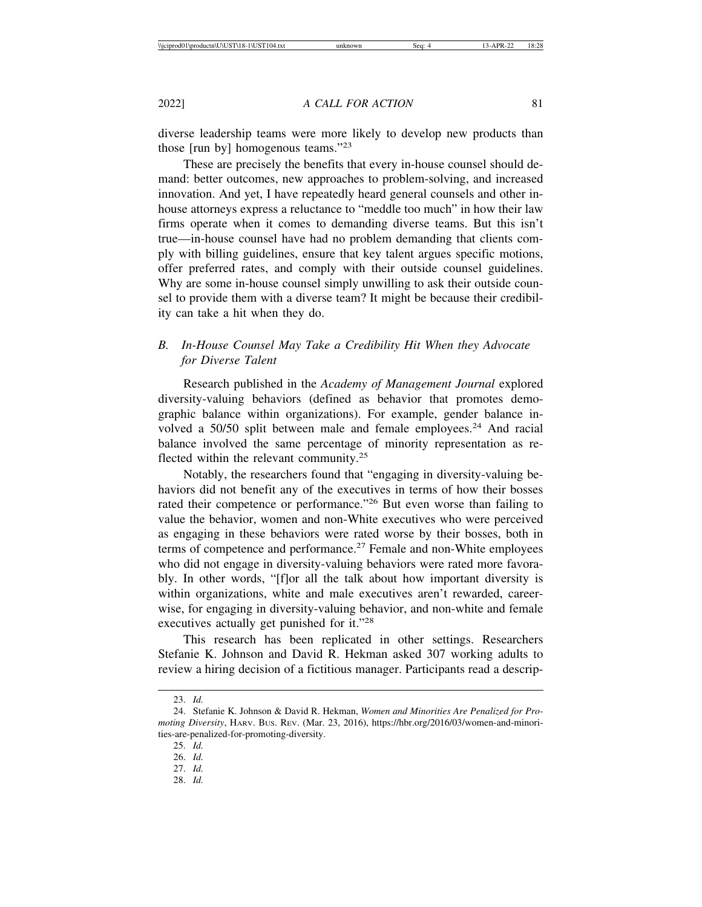diverse leadership teams were more likely to develop new products than those [run by] homogenous teams."<sup>23</sup>

These are precisely the benefits that every in-house counsel should demand: better outcomes, new approaches to problem-solving, and increased innovation. And yet, I have repeatedly heard general counsels and other inhouse attorneys express a reluctance to "meddle too much" in how their law firms operate when it comes to demanding diverse teams. But this isn't true—in-house counsel have had no problem demanding that clients comply with billing guidelines, ensure that key talent argues specific motions, offer preferred rates, and comply with their outside counsel guidelines. Why are some in-house counsel simply unwilling to ask their outside counsel to provide them with a diverse team? It might be because their credibility can take a hit when they do.

### *B. In-House Counsel May Take a Credibility Hit When they Advocate for Diverse Talent*

Research published in the *Academy of Management Journal* explored diversity-valuing behaviors (defined as behavior that promotes demographic balance within organizations). For example, gender balance involved a 50/50 split between male and female employees.<sup>24</sup> And racial balance involved the same percentage of minority representation as reflected within the relevant community.<sup>25</sup>

Notably, the researchers found that "engaging in diversity-valuing behaviors did not benefit any of the executives in terms of how their bosses rated their competence or performance."26 But even worse than failing to value the behavior, women and non-White executives who were perceived as engaging in these behaviors were rated worse by their bosses, both in terms of competence and performance. $27$  Female and non-White employees who did not engage in diversity-valuing behaviors were rated more favorably. In other words, "[f]or all the talk about how important diversity is within organizations, white and male executives aren't rewarded, careerwise, for engaging in diversity-valuing behavior, and non-white and female executives actually get punished for it."<sup>28</sup>

This research has been replicated in other settings. Researchers Stefanie K. Johnson and David R. Hekman asked 307 working adults to review a hiring decision of a fictitious manager. Participants read a descrip-

<sup>23.</sup> *Id.*

<sup>24.</sup> Stefanie K. Johnson & David R. Hekman, *Women and Minorities Are Penalized for Promoting Diversity*, HARV. BUS. REV. (Mar. 23, 2016), https://hbr.org/2016/03/women-and-minorities-are-penalized-for-promoting-diversity.

<sup>25.</sup> *Id.*

<sup>26.</sup> *Id.*

<sup>27.</sup> *Id.*

<sup>28.</sup> *Id.*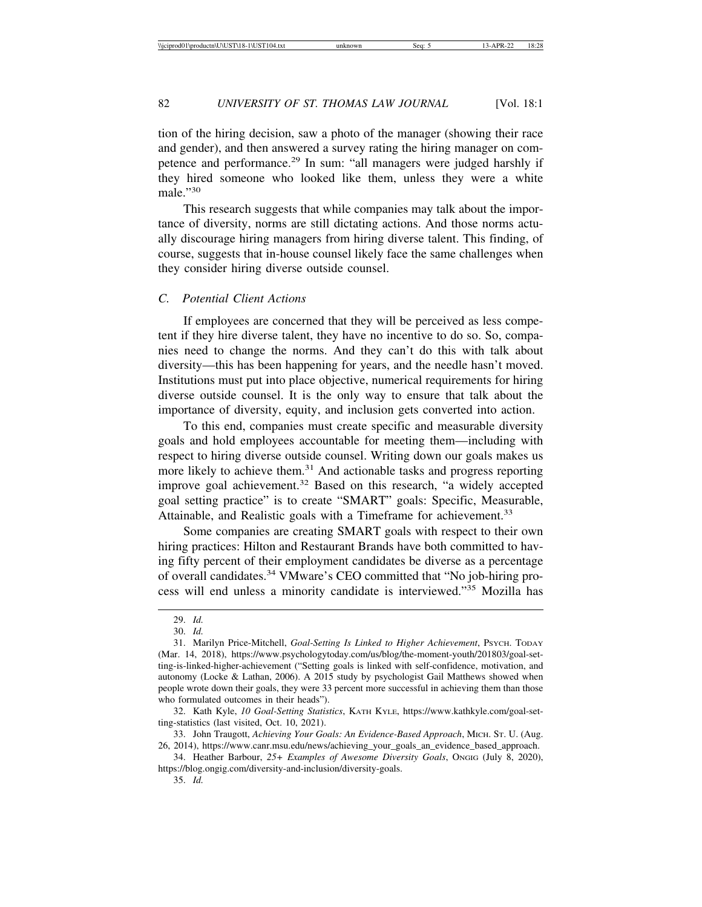tion of the hiring decision, saw a photo of the manager (showing their race and gender), and then answered a survey rating the hiring manager on competence and performance.29 In sum: "all managers were judged harshly if they hired someone who looked like them, unless they were a white male."30

This research suggests that while companies may talk about the importance of diversity, norms are still dictating actions. And those norms actually discourage hiring managers from hiring diverse talent. This finding, of course, suggests that in-house counsel likely face the same challenges when they consider hiring diverse outside counsel.

#### *C. Potential Client Actions*

If employees are concerned that they will be perceived as less competent if they hire diverse talent, they have no incentive to do so. So, companies need to change the norms. And they can't do this with talk about diversity—this has been happening for years, and the needle hasn't moved. Institutions must put into place objective, numerical requirements for hiring diverse outside counsel. It is the only way to ensure that talk about the importance of diversity, equity, and inclusion gets converted into action.

To this end, companies must create specific and measurable diversity goals and hold employees accountable for meeting them—including with respect to hiring diverse outside counsel. Writing down our goals makes us more likely to achieve them.<sup>31</sup> And actionable tasks and progress reporting improve goal achievement.<sup>32</sup> Based on this research, "a widely accepted goal setting practice" is to create "SMART" goals: Specific, Measurable, Attainable, and Realistic goals with a Timeframe for achievement.<sup>33</sup>

Some companies are creating SMART goals with respect to their own hiring practices: Hilton and Restaurant Brands have both committed to having fifty percent of their employment candidates be diverse as a percentage of overall candidates.34 VMware's CEO committed that "No job-hiring process will end unless a minority candidate is interviewed."35 Mozilla has

<sup>29.</sup> *Id.*

<sup>30.</sup> *Id.*

<sup>31.</sup> Marilyn Price-Mitchell, *Goal-Setting Is Linked to Higher Achievement*, PSYCH. TODAY (Mar. 14, 2018), https://www.psychologytoday.com/us/blog/the-moment-youth/201803/goal-setting-is-linked-higher-achievement ("Setting goals is linked with self-confidence, motivation, and autonomy (Locke & Lathan, 2006). A 2015 study by psychologist Gail Matthews showed when people wrote down their goals, they were 33 percent more successful in achieving them than those who formulated outcomes in their heads").

<sup>32.</sup> Kath Kyle, *10 Goal-Setting Statistics*, KATH KYLE, https://www.kathkyle.com/goal-setting-statistics (last visited, Oct. 10, 2021).

<sup>33.</sup> John Traugott, *Achieving Your Goals: An Evidence-Based Approach*, MICH. ST. U. (Aug. 26, 2014), https://www.canr.msu.edu/news/achieving\_your\_goals\_an\_evidence\_based\_approach.

<sup>34.</sup> Heather Barbour, *25+ Examples of Awesome Diversity Goals*, ONGIG (July 8, 2020), https://blog.ongig.com/diversity-and-inclusion/diversity-goals.

<sup>35.</sup> *Id.*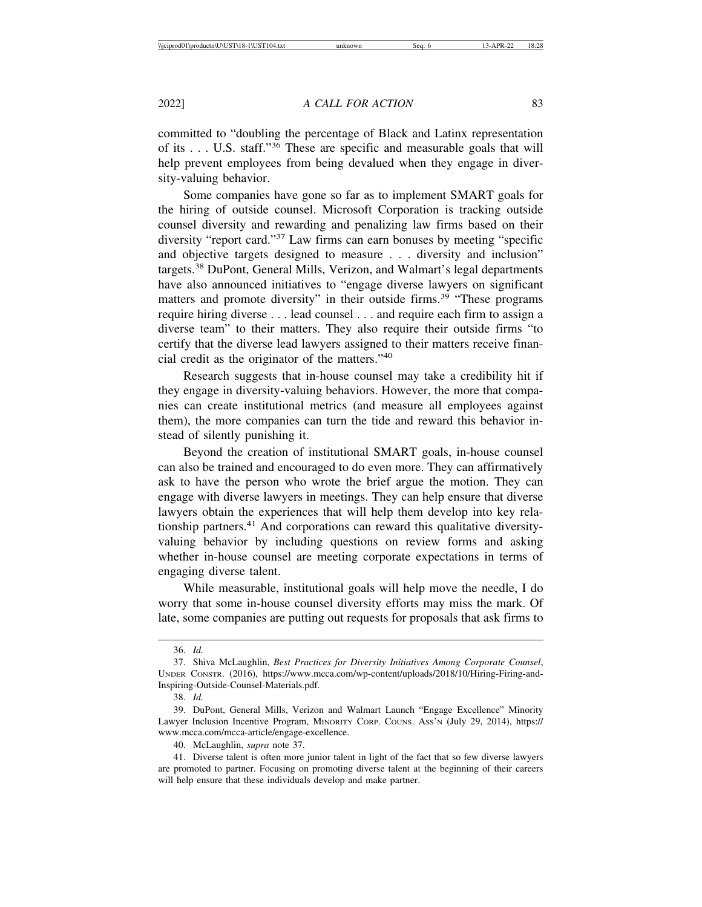committed to "doubling the percentage of Black and Latinx representation of its . . . U.S. staff."36 These are specific and measurable goals that will help prevent employees from being devalued when they engage in diver-

Some companies have gone so far as to implement SMART goals for the hiring of outside counsel. Microsoft Corporation is tracking outside counsel diversity and rewarding and penalizing law firms based on their diversity "report card."37 Law firms can earn bonuses by meeting "specific and objective targets designed to measure . . . diversity and inclusion" targets.38 DuPont, General Mills, Verizon, and Walmart's legal departments have also announced initiatives to "engage diverse lawyers on significant matters and promote diversity" in their outside firms.<sup>39</sup> "These programs" require hiring diverse . . . lead counsel . . . and require each firm to assign a diverse team" to their matters. They also require their outside firms "to certify that the diverse lead lawyers assigned to their matters receive financial credit as the originator of the matters."<sup>40</sup>

Research suggests that in-house counsel may take a credibility hit if they engage in diversity-valuing behaviors. However, the more that companies can create institutional metrics (and measure all employees against them), the more companies can turn the tide and reward this behavior instead of silently punishing it.

Beyond the creation of institutional SMART goals, in-house counsel can also be trained and encouraged to do even more. They can affirmatively ask to have the person who wrote the brief argue the motion. They can engage with diverse lawyers in meetings. They can help ensure that diverse lawyers obtain the experiences that will help them develop into key relationship partners.<sup>41</sup> And corporations can reward this qualitative diversityvaluing behavior by including questions on review forms and asking whether in-house counsel are meeting corporate expectations in terms of engaging diverse talent.

While measurable, institutional goals will help move the needle, I do worry that some in-house counsel diversity efforts may miss the mark. Of late, some companies are putting out requests for proposals that ask firms to

38. *Id.*

sity-valuing behavior.

<sup>36.</sup> *Id.*

<sup>37.</sup> Shiva McLaughlin, *Best Practices for Diversity Initiatives Among Corporate Counsel*, UNDER CONSTR. (2016), https://www.mcca.com/wp-content/uploads/2018/10/Hiring-Firing-and-Inspiring-Outside-Counsel-Materials.pdf.

<sup>39.</sup> DuPont, General Mills, Verizon and Walmart Launch "Engage Excellence" Minority Lawyer Inclusion Incentive Program, MINORITY CORP. COUNS. ASS'N (July 29, 2014), https:// www.mcca.com/mcca-article/engage-excellence.

<sup>40.</sup> McLaughlin, *supra* note 37.

<sup>41.</sup> Diverse talent is often more junior talent in light of the fact that so few diverse lawyers are promoted to partner. Focusing on promoting diverse talent at the beginning of their careers will help ensure that these individuals develop and make partner.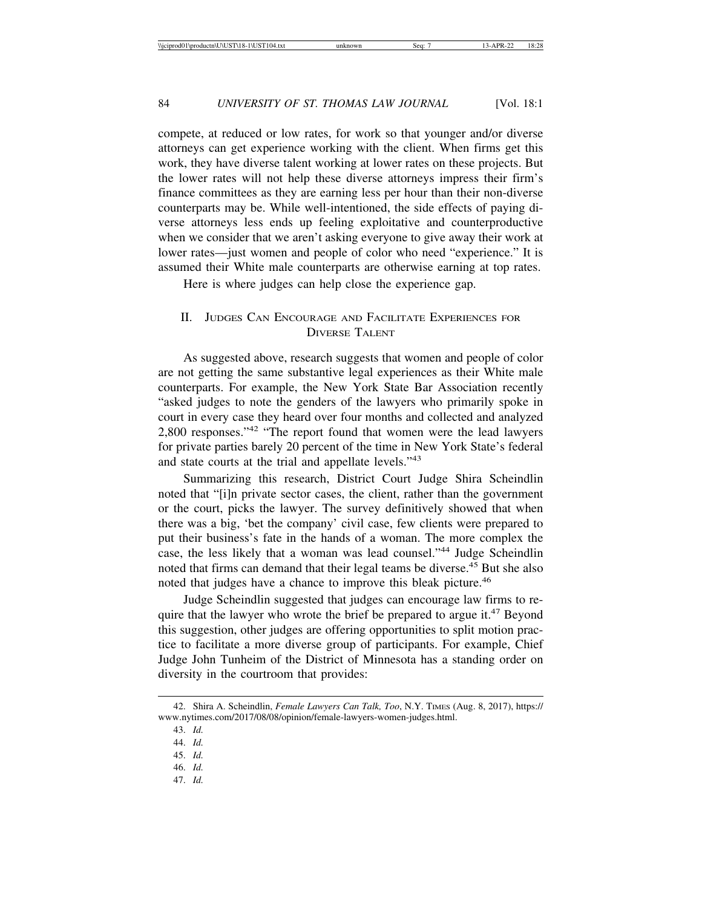compete, at reduced or low rates, for work so that younger and/or diverse attorneys can get experience working with the client. When firms get this work, they have diverse talent working at lower rates on these projects. But the lower rates will not help these diverse attorneys impress their firm's finance committees as they are earning less per hour than their non-diverse counterparts may be. While well-intentioned, the side effects of paying diverse attorneys less ends up feeling exploitative and counterproductive when we consider that we aren't asking everyone to give away their work at lower rates—just women and people of color who need "experience." It is assumed their White male counterparts are otherwise earning at top rates.

Here is where judges can help close the experience gap.

#### II. JUDGES CAN ENCOURAGE AND FACILITATE EXPERIENCES FOR DIVERSE TALENT

As suggested above, research suggests that women and people of color are not getting the same substantive legal experiences as their White male counterparts. For example, the New York State Bar Association recently "asked judges to note the genders of the lawyers who primarily spoke in court in every case they heard over four months and collected and analyzed 2,800 responses."42 "The report found that women were the lead lawyers for private parties barely 20 percent of the time in New York State's federal and state courts at the trial and appellate levels."<sup>43</sup>

Summarizing this research, District Court Judge Shira Scheindlin noted that "[i]n private sector cases, the client, rather than the government or the court, picks the lawyer. The survey definitively showed that when there was a big, 'bet the company' civil case, few clients were prepared to put their business's fate in the hands of a woman. The more complex the case, the less likely that a woman was lead counsel."44 Judge Scheindlin noted that firms can demand that their legal teams be diverse.<sup>45</sup> But she also noted that judges have a chance to improve this bleak picture.<sup>46</sup>

Judge Scheindlin suggested that judges can encourage law firms to require that the lawyer who wrote the brief be prepared to argue it.<sup>47</sup> Beyond this suggestion, other judges are offering opportunities to split motion practice to facilitate a more diverse group of participants. For example, Chief Judge John Tunheim of the District of Minnesota has a standing order on diversity in the courtroom that provides:

45. *Id.*

47. *Id.*

<sup>42.</sup> Shira A. Scheindlin, *Female Lawyers Can Talk, Too*, N.Y. TIMES (Aug. 8, 2017), https:// www.nytimes.com/2017/08/08/opinion/female-lawyers-women-judges.html.

<sup>43.</sup> *Id.*

<sup>44.</sup> *Id.*

<sup>46.</sup> *Id.*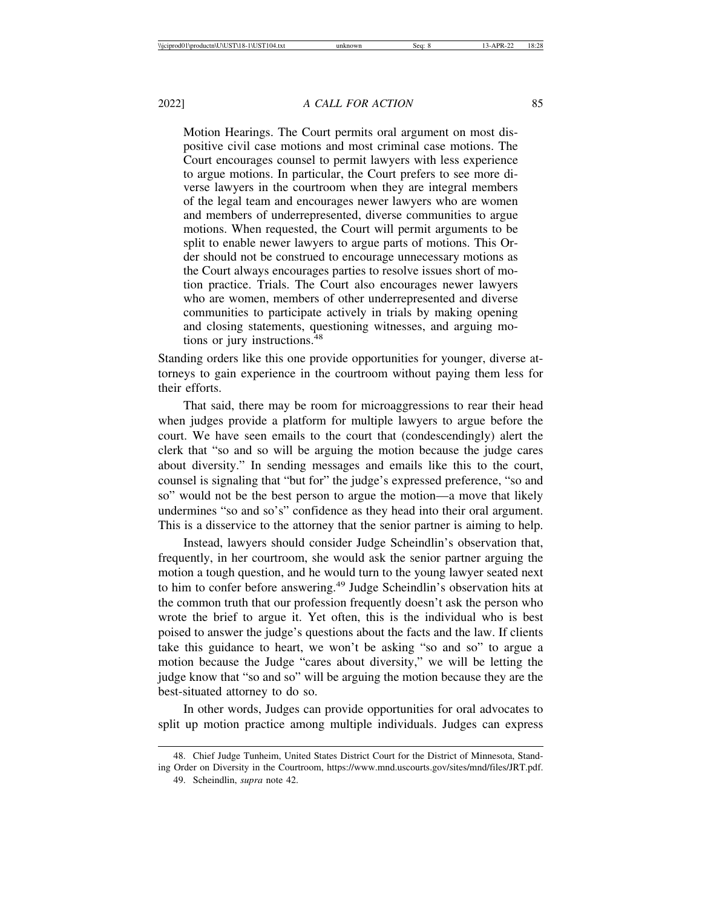Motion Hearings. The Court permits oral argument on most dispositive civil case motions and most criminal case motions. The Court encourages counsel to permit lawyers with less experience to argue motions. In particular, the Court prefers to see more diverse lawyers in the courtroom when they are integral members of the legal team and encourages newer lawyers who are women and members of underrepresented, diverse communities to argue motions. When requested, the Court will permit arguments to be split to enable newer lawyers to argue parts of motions. This Order should not be construed to encourage unnecessary motions as the Court always encourages parties to resolve issues short of motion practice. Trials. The Court also encourages newer lawyers who are women, members of other underrepresented and diverse communities to participate actively in trials by making opening and closing statements, questioning witnesses, and arguing motions or jury instructions.<sup>48</sup>

Standing orders like this one provide opportunities for younger, diverse attorneys to gain experience in the courtroom without paying them less for their efforts.

That said, there may be room for microaggressions to rear their head when judges provide a platform for multiple lawyers to argue before the court. We have seen emails to the court that (condescendingly) alert the clerk that "so and so will be arguing the motion because the judge cares about diversity." In sending messages and emails like this to the court, counsel is signaling that "but for" the judge's expressed preference, "so and so" would not be the best person to argue the motion—a move that likely undermines "so and so's" confidence as they head into their oral argument. This is a disservice to the attorney that the senior partner is aiming to help.

Instead, lawyers should consider Judge Scheindlin's observation that, frequently, in her courtroom, she would ask the senior partner arguing the motion a tough question, and he would turn to the young lawyer seated next to him to confer before answering.<sup>49</sup> Judge Scheindlin's observation hits at the common truth that our profession frequently doesn't ask the person who wrote the brief to argue it. Yet often, this is the individual who is best poised to answer the judge's questions about the facts and the law. If clients take this guidance to heart, we won't be asking "so and so" to argue a motion because the Judge "cares about diversity," we will be letting the judge know that "so and so" will be arguing the motion because they are the best-situated attorney to do so.

In other words, Judges can provide opportunities for oral advocates to split up motion practice among multiple individuals. Judges can express

<sup>48.</sup> Chief Judge Tunheim, United States District Court for the District of Minnesota, Standing Order on Diversity in the Courtroom, https://www.mnd.uscourts.gov/sites/mnd/files/JRT.pdf. 49. Scheindlin, *supra* note 42.